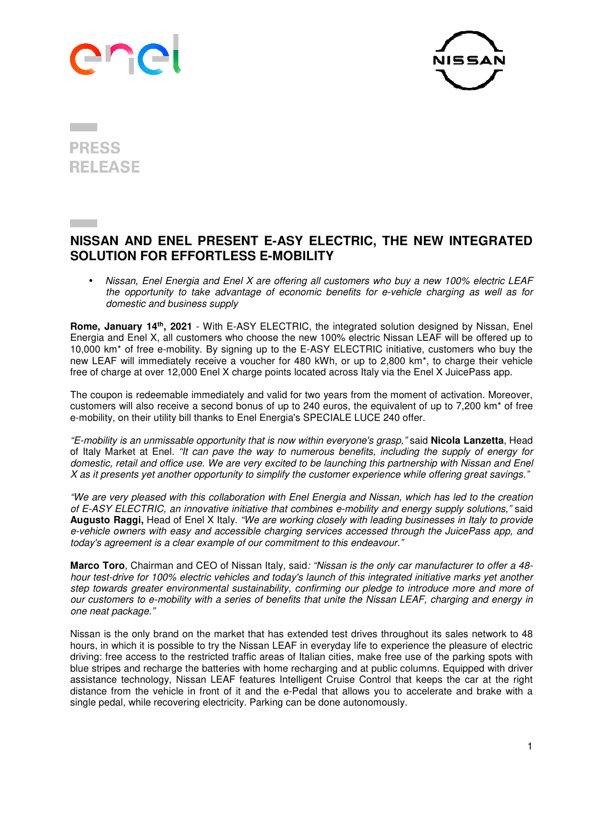



**PRESS RELEASE** 

## **NISSAN AND ENEL PRESENT E-ASY ELECTRIC, THE NEW INTEGRATED SOLUTION FOR EFFORTLESS E-MOBILITY**

• *Nissan, Enel Energia and Enel X are offering all customers who buy a new 100% electric LEAF the opportunity to take advantage of economic benefits for e-vehicle charging as well as for domestic and business supply* 

**Rome, January 14th, 2021** - With E-ASY ELECTRIC, the integrated solution designed by Nissan, Enel Energia and Enel X, all customers who choose the new 100% electric Nissan LEAF will be offered up to 10,000 km\* of free e-mobility. By signing up to the E-ASY ELECTRIC initiative, customers who buy the new LEAF will immediately receive a voucher for 480 kWh, or up to 2,800 km\*, to charge their vehicle free of charge at over 12,000 Enel X charge points located across Italy via the Enel X JuicePass app.

The coupon is redeemable immediately and valid for two years from the moment of activation. Moreover, customers will also receive a second bonus of up to 240 euros, the equivalent of up to 7,200 km\* of free e-mobility, on their utility bill thanks to Enel Energia's SPECIALE LUCE 240 offer.

*"E-mobility is an unmissable opportunity that is now within everyone's grasp,"* said **Nicola Lanzetta**, Head of Italy Market at Enel*. "It can pave the way to numerous benefits, including the supply of energy for domestic, retail and office use. We are very excited to be launching this partnership with Nissan and Enel X as it presents yet another opportunity to simplify the customer experience while offering great savings."* 

*"We are very pleased with this collaboration with Enel Energia and Nissan, which has led to the creation of E-ASY ELECTRIC, an innovative initiative that combines e-mobility and energy supply solutions,"* said **Augusto Raggi,** Head of Enel X Italy. *"We are working closely with leading businesses in Italy to provide e-vehicle owners with easy and accessible charging services accessed through the JuicePass app, and today's agreement is a clear example of our commitment to this endeavour."*

**Marco Toro**, Chairman and CEO of Nissan Italy, said*: "Nissan is the only car manufacturer to offer a 48 hour test-drive for 100% electric vehicles and today's launch of this integrated initiative marks yet another step towards greater environmental sustainability, confirming our pledge to introduce more and more of our customers to e-mobility with a series of benefits that unite the Nissan LEAF, charging and energy in one neat package."* 

Nissan is the only brand on the market that has extended test drives throughout its sales network to 48 hours, in which it is possible to try the Nissan LEAF in everyday life to experience the pleasure of electric driving: free access to the restricted traffic areas of Italian cities, make free use of the parking spots with blue stripes and recharge the batteries with home recharging and at public columns. Equipped with driver assistance technology, Nissan LEAF features Intelligent Cruise Control that keeps the car at the right distance from the vehicle in front of it and the e-Pedal that allows you to accelerate and brake with a single pedal, while recovering electricity. Parking can be done autonomously.